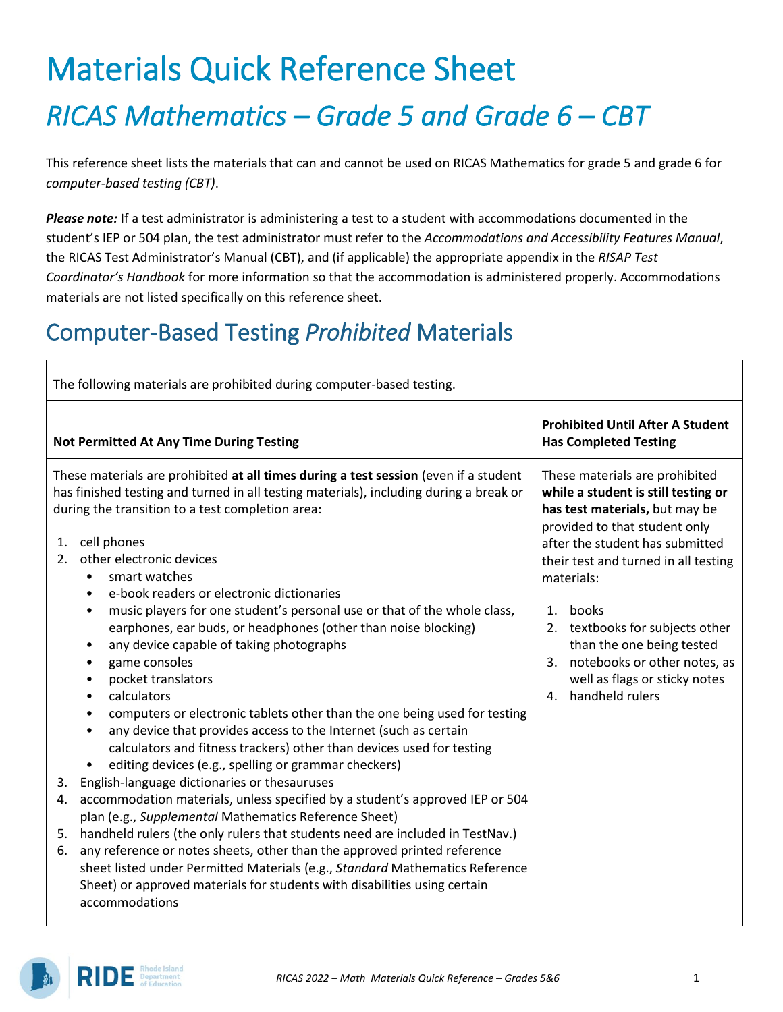# Materials Quick Reference Sheet *RICAS Mathematics – Grade 5 and Grade 6 – CBT*

This reference sheet lists the materials that can and cannot be used on RICAS Mathematics for grade 5 and grade 6 for *computer-based testing (CBT)*.

*Please note:* If a test administrator is administering a test to a student with accommodations documented in the student's IEP or 504 plan, the test administrator must refer to the *Accommodations and Accessibility Features Manual*, the RICAS Test Administrator's Manual (CBT), and (if applicable) the appropriate appendix in the *RISAP Test Coordinator's Handbook* for more information so that the accommodation is administered properly. Accommodations materials are not listed specifically on this reference sheet.

### Computer-Based Testing *Prohibited* Materials

| The following materials are prohibited during computer-based testing.                                                                                                                                                                                                                                                                                                                                                                                                                                                                                                                                                                                                                                                                                                                                                                                                                                                                                                                                                                                                                                                                                                                                                                                                                                                                                                                                                                                                                                                                            |                                                                                                                                                                                                                                                                                                                                                                                                                                          |  |  |  |
|--------------------------------------------------------------------------------------------------------------------------------------------------------------------------------------------------------------------------------------------------------------------------------------------------------------------------------------------------------------------------------------------------------------------------------------------------------------------------------------------------------------------------------------------------------------------------------------------------------------------------------------------------------------------------------------------------------------------------------------------------------------------------------------------------------------------------------------------------------------------------------------------------------------------------------------------------------------------------------------------------------------------------------------------------------------------------------------------------------------------------------------------------------------------------------------------------------------------------------------------------------------------------------------------------------------------------------------------------------------------------------------------------------------------------------------------------------------------------------------------------------------------------------------------------|------------------------------------------------------------------------------------------------------------------------------------------------------------------------------------------------------------------------------------------------------------------------------------------------------------------------------------------------------------------------------------------------------------------------------------------|--|--|--|
| <b>Not Permitted At Any Time During Testing</b>                                                                                                                                                                                                                                                                                                                                                                                                                                                                                                                                                                                                                                                                                                                                                                                                                                                                                                                                                                                                                                                                                                                                                                                                                                                                                                                                                                                                                                                                                                  | <b>Prohibited Until After A Student</b><br><b>Has Completed Testing</b>                                                                                                                                                                                                                                                                                                                                                                  |  |  |  |
| These materials are prohibited at all times during a test session (even if a student<br>has finished testing and turned in all testing materials), including during a break or<br>during the transition to a test completion area:<br>cell phones<br>1.<br>other electronic devices<br>2.<br>smart watches<br>$\bullet$<br>e-book readers or electronic dictionaries<br>٠<br>music players for one student's personal use or that of the whole class,<br>$\bullet$<br>earphones, ear buds, or headphones (other than noise blocking)<br>any device capable of taking photographs<br>٠<br>game consoles<br>٠<br>pocket translators<br>$\bullet$<br>calculators<br>$\bullet$<br>computers or electronic tablets other than the one being used for testing<br>$\bullet$<br>any device that provides access to the Internet (such as certain<br>$\bullet$<br>calculators and fitness trackers) other than devices used for testing<br>editing devices (e.g., spelling or grammar checkers)<br>English-language dictionaries or thesauruses<br>3.<br>accommodation materials, unless specified by a student's approved IEP or 504<br>4.<br>plan (e.g., Supplemental Mathematics Reference Sheet)<br>5. handheld rulers (the only rulers that students need are included in TestNav.)<br>any reference or notes sheets, other than the approved printed reference<br>6.<br>sheet listed under Permitted Materials (e.g., Standard Mathematics Reference<br>Sheet) or approved materials for students with disabilities using certain<br>accommodations | These materials are prohibited<br>while a student is still testing or<br>has test materials, but may be<br>provided to that student only<br>after the student has submitted<br>their test and turned in all testing<br>materials:<br>books<br>$\mathbf{1}$ .<br>textbooks for subjects other<br>2.<br>than the one being tested<br>3. notebooks or other notes, as<br>well as flags or sticky notes<br>handheld rulers<br>$\mathbf{4}$ . |  |  |  |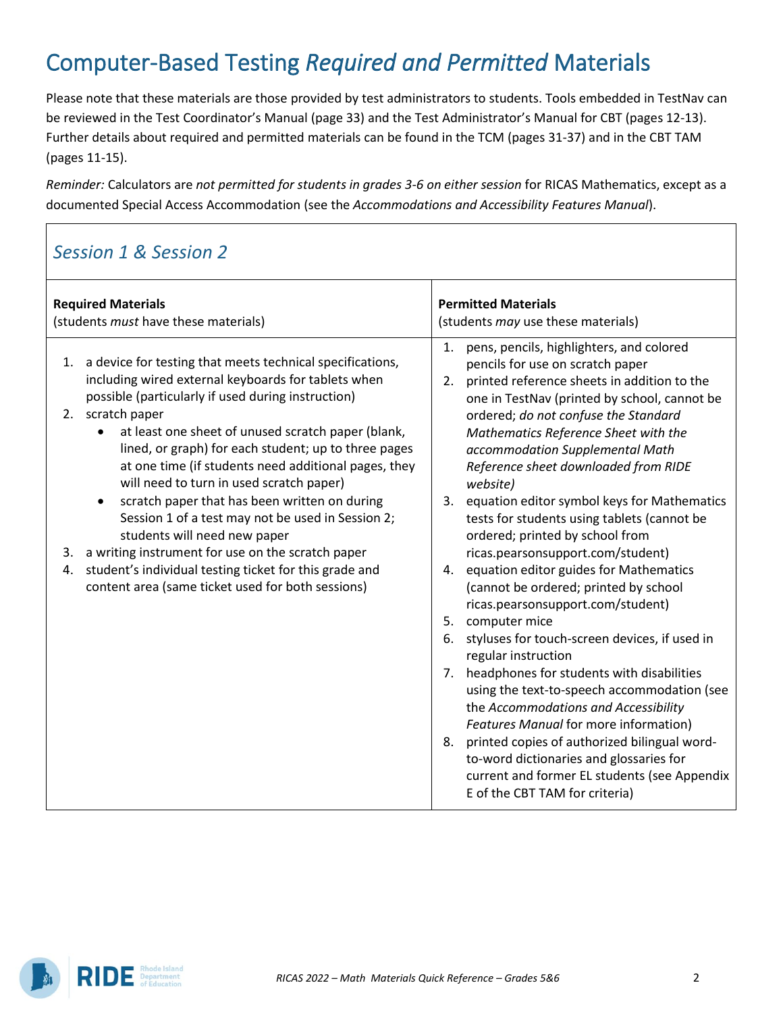### Computer-Based Testing *Required and Permitted* Materials

Please note that these materials are those provided by test administrators to students. Tools embedded in TestNav can be reviewed in the Test Coordinator's Manual (page 33) and the Test Administrator's Manual for CBT (pages 12-13). Further details about required and permitted materials can be found in the TCM (pages 31-37) and in the CBT TAM (pages 11-15).

*Reminder:* Calculators are *not permitted for students in grades 3-6 on either session* for RICAS Mathematics, except as a documented Special Access Accommodation (see the *Accommodations and Accessibility Features Manual*).

#### *Session 1 & Session 2*

| <b>Required Materials</b>                                                                                                                                                                                                                                                                                                                                                                                                                                                                                                                                                                                                                                                                                                                                                                     | <b>Permitted Materials</b>                                                                                                                                                                                                                                                                                                                                                                                                                                                                                                                                                                                                                                                                                                                                                                                                                                                                                                                                                                                                                                                                                      |
|-----------------------------------------------------------------------------------------------------------------------------------------------------------------------------------------------------------------------------------------------------------------------------------------------------------------------------------------------------------------------------------------------------------------------------------------------------------------------------------------------------------------------------------------------------------------------------------------------------------------------------------------------------------------------------------------------------------------------------------------------------------------------------------------------|-----------------------------------------------------------------------------------------------------------------------------------------------------------------------------------------------------------------------------------------------------------------------------------------------------------------------------------------------------------------------------------------------------------------------------------------------------------------------------------------------------------------------------------------------------------------------------------------------------------------------------------------------------------------------------------------------------------------------------------------------------------------------------------------------------------------------------------------------------------------------------------------------------------------------------------------------------------------------------------------------------------------------------------------------------------------------------------------------------------------|
| (students must have these materials)                                                                                                                                                                                                                                                                                                                                                                                                                                                                                                                                                                                                                                                                                                                                                          | (students may use these materials)                                                                                                                                                                                                                                                                                                                                                                                                                                                                                                                                                                                                                                                                                                                                                                                                                                                                                                                                                                                                                                                                              |
| 1.<br>a device for testing that meets technical specifications,<br>1.<br>including wired external keyboards for tablets when<br>possible (particularly if used during instruction)<br>scratch paper<br>2.<br>at least one sheet of unused scratch paper (blank,<br>$\bullet$<br>lined, or graph) for each student; up to three pages<br>at one time (if students need additional pages, they<br>will need to turn in used scratch paper)<br>scratch paper that has been written on during<br>$\bullet$<br>Session 1 of a test may not be used in Session 2;<br>students will need new paper<br>a writing instrument for use on the scratch paper<br>3.<br>student's individual testing ticket for this grade and<br>4.<br>content area (same ticket used for both sessions)<br>5.<br>6.<br>8. | pens, pencils, highlighters, and colored<br>pencils for use on scratch paper<br>2. printed reference sheets in addition to the<br>one in TestNav (printed by school, cannot be<br>ordered; do not confuse the Standard<br>Mathematics Reference Sheet with the<br>accommodation Supplemental Math<br>Reference sheet downloaded from RIDE<br>website)<br>3. equation editor symbol keys for Mathematics<br>tests for students using tablets (cannot be<br>ordered; printed by school from<br>ricas.pearsonsupport.com/student)<br>4. equation editor guides for Mathematics<br>(cannot be ordered; printed by school<br>ricas.pearsonsupport.com/student)<br>computer mice<br>styluses for touch-screen devices, if used in<br>regular instruction<br>7. headphones for students with disabilities<br>using the text-to-speech accommodation (see<br>the Accommodations and Accessibility<br>Features Manual for more information)<br>printed copies of authorized bilingual word-<br>to-word dictionaries and glossaries for<br>current and former EL students (see Appendix<br>E of the CBT TAM for criteria) |

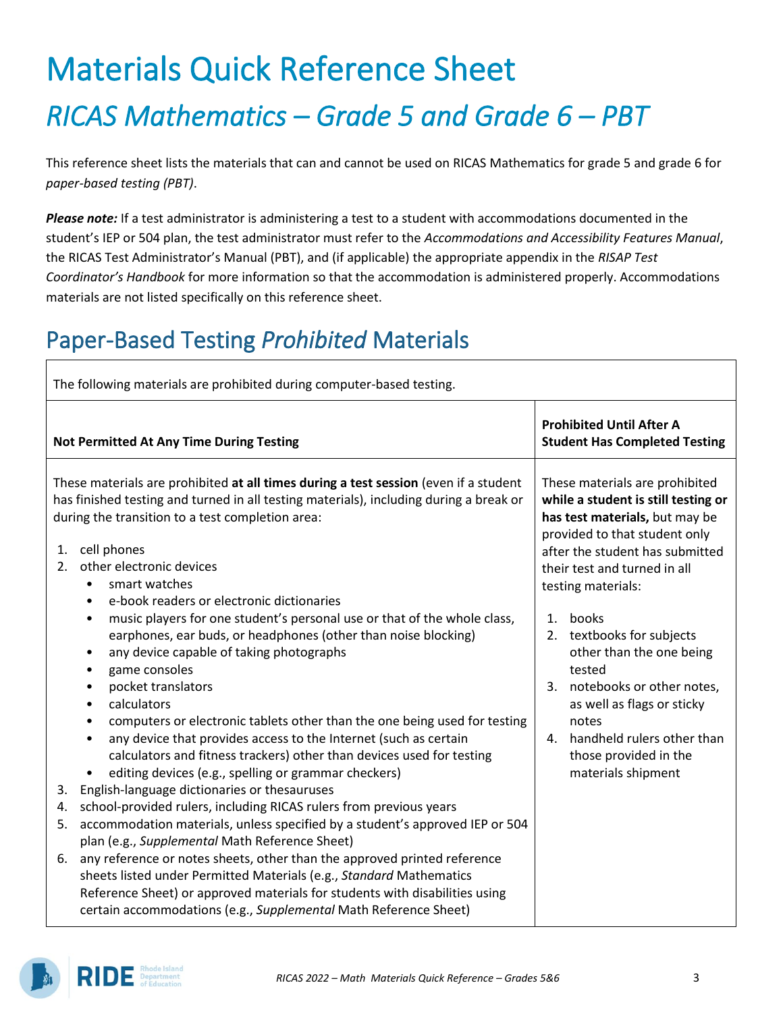# Materials Quick Reference Sheet *RICAS Mathematics – Grade 5 and Grade 6 – PBT*

This reference sheet lists the materials that can and cannot be used on RICAS Mathematics for grade 5 and grade 6 for *paper-based testing (PBT)*.

*Please note:* If a test administrator is administering a test to a student with accommodations documented in the student's IEP or 504 plan, the test administrator must refer to the *Accommodations and Accessibility Features Manual*, the RICAS Test Administrator's Manual (PBT), and (if applicable) the appropriate appendix in the *RISAP Test Coordinator's Handbook* for more information so that the accommodation is administered properly. Accommodations materials are not listed specifically on this reference sheet.

### Paper-Based Testing *Prohibited* Materials

| The following materials are prohibited during computer-based testing.              |                                                                                                                                                                                                                                                                                                                                                                                                                                                                                                                                                                                                                                                                                           |                                                                                                                                                                                                                                                                                                                                                                                               |                                                                                    |  |
|------------------------------------------------------------------------------------|-------------------------------------------------------------------------------------------------------------------------------------------------------------------------------------------------------------------------------------------------------------------------------------------------------------------------------------------------------------------------------------------------------------------------------------------------------------------------------------------------------------------------------------------------------------------------------------------------------------------------------------------------------------------------------------------|-----------------------------------------------------------------------------------------------------------------------------------------------------------------------------------------------------------------------------------------------------------------------------------------------------------------------------------------------------------------------------------------------|------------------------------------------------------------------------------------|--|
| <b>Not Permitted At Any Time During Testing</b>                                    |                                                                                                                                                                                                                                                                                                                                                                                                                                                                                                                                                                                                                                                                                           |                                                                                                                                                                                                                                                                                                                                                                                               | <b>Prohibited Until After A</b><br><b>Student Has Completed Testing</b>            |  |
| cell phones<br>1.<br>2.<br>$\bullet$<br>$\bullet$<br>٠<br>٠<br>٠<br>$\bullet$<br>٠ | These materials are prohibited at all times during a test session (even if a student<br>has finished testing and turned in all testing materials), including during a break or<br>during the transition to a test completion area:<br>other electronic devices<br>smart watches<br>e-book readers or electronic dictionaries<br>music players for one student's personal use or that of the whole class,<br>earphones, ear buds, or headphones (other than noise blocking)<br>any device capable of taking photographs<br>game consoles<br>pocket translators<br>calculators                                                                                                              | These materials are prohibited<br>while a student is still testing or<br>has test materials, but may be<br>provided to that student only<br>after the student has submitted<br>their test and turned in all<br>testing materials:<br>books<br>$\mathbf{1}$ .<br>2. textbooks for subjects<br>other than the one being<br>tested<br>3. notebooks or other notes,<br>as well as flags or sticky |                                                                                    |  |
| $\bullet$<br>$\bullet$<br>٠<br>3.<br>4.<br>5.<br>6.                                | computers or electronic tablets other than the one being used for testing<br>any device that provides access to the Internet (such as certain<br>calculators and fitness trackers) other than devices used for testing<br>editing devices (e.g., spelling or grammar checkers)<br>English-language dictionaries or thesauruses<br>school-provided rulers, including RICAS rulers from previous years<br>accommodation materials, unless specified by a student's approved IEP or 504<br>plan (e.g., Supplemental Math Reference Sheet)<br>any reference or notes sheets, other than the approved printed reference<br>sheets listed under Permitted Materials (e.g., Standard Mathematics | 4.                                                                                                                                                                                                                                                                                                                                                                                            | notes<br>handheld rulers other than<br>those provided in the<br>materials shipment |  |
|                                                                                    | Reference Sheet) or approved materials for students with disabilities using<br>certain accommodations (e.g., Supplemental Math Reference Sheet)                                                                                                                                                                                                                                                                                                                                                                                                                                                                                                                                           |                                                                                                                                                                                                                                                                                                                                                                                               |                                                                                    |  |